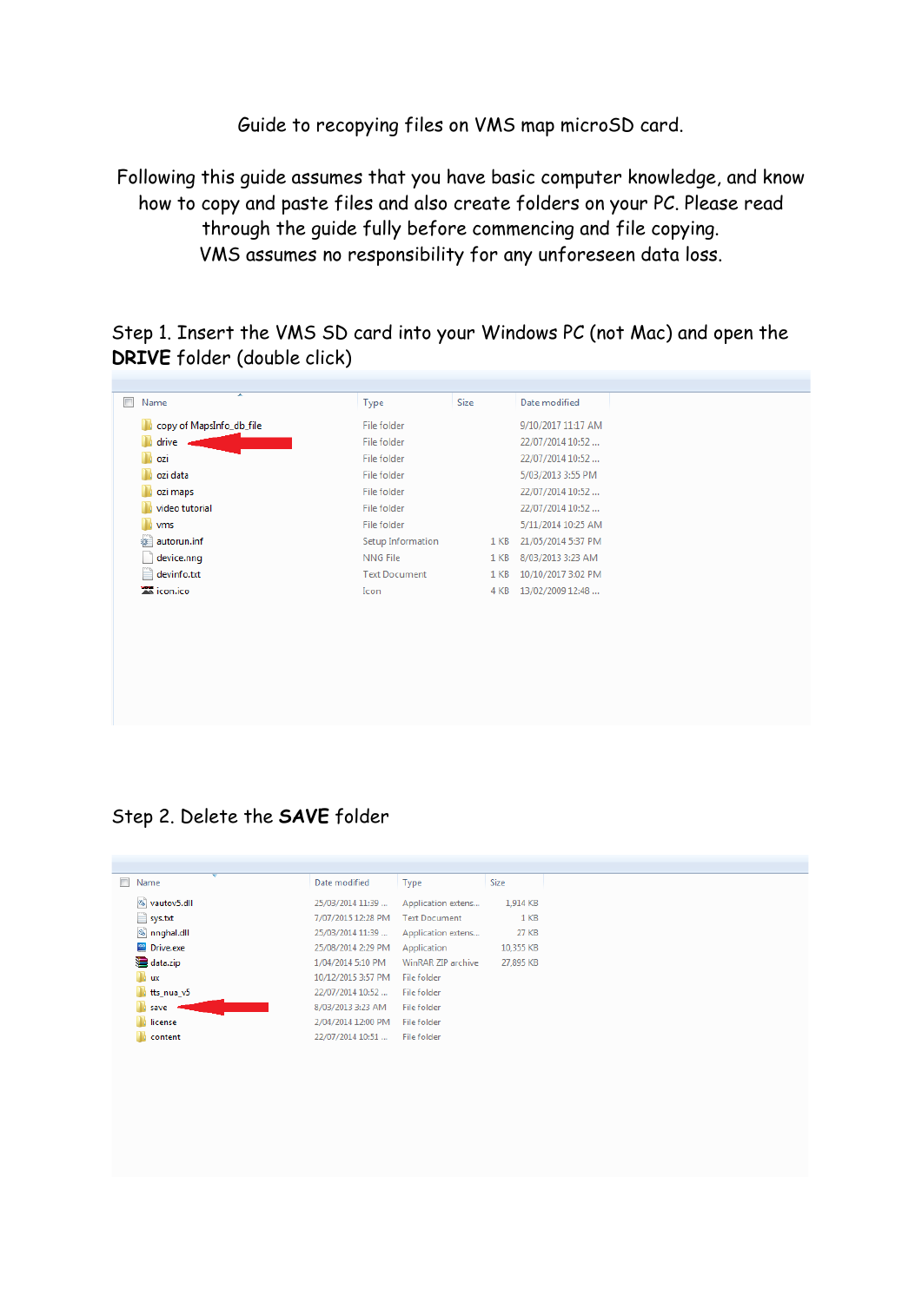Guide to recopying files on VMS map microSD card.

Following this guide assumes that you have basic computer knowledge, and know how to copy and paste files and also create folders on your PC. Please read through the guide fully before commencing and file copying. VMS assumes no responsibility for any unforeseen data loss.

Step 1. Insert the VMS SD card into your Windows PC (not Mac) and open the **DRIVE** folder (double click)

| copy of MapsInfo_db_file<br>drive<br>ozi<br>ozi data<br>ozi maps<br>video tutorial | File folder<br>File folder<br>File folder<br>File folder<br>File folder |                 | 9/10/2017 11:17 AM<br>22/07/2014 10:52<br>22/07/2014 10:52<br>5/03/2013 3:55 PM |
|------------------------------------------------------------------------------------|-------------------------------------------------------------------------|-----------------|---------------------------------------------------------------------------------|
|                                                                                    |                                                                         |                 |                                                                                 |
|                                                                                    |                                                                         |                 |                                                                                 |
|                                                                                    |                                                                         |                 |                                                                                 |
|                                                                                    |                                                                         |                 |                                                                                 |
|                                                                                    |                                                                         |                 | 22/07/2014 10:52                                                                |
|                                                                                    | File folder                                                             |                 | 22/07/2014 10:52                                                                |
| vms                                                                                | File folder                                                             |                 | 5/11/2014 10:25 AM                                                              |
| autorun.inf<br>雛                                                                   | Setup Information                                                       | 1 <sub>KB</sub> | 21/05/2014 5:37 PM                                                              |
| device.nng                                                                         | NNG File                                                                | 1 <sub>KB</sub> | 8/03/2013 3:23 AM                                                               |
| devinfo.txt                                                                        | <b>Text Document</b>                                                    | 1 KB            | 10/10/2017 3:02 PM                                                              |
| icon.ico                                                                           | Icon                                                                    | 4 KB            | 13/02/2009 12:48                                                                |

## Step 2. Delete the **SAVE** folder

| ÷<br>Name<br>П | Date modified      | Type                 | <b>Size</b>     |
|----------------|--------------------|----------------------|-----------------|
| Vautov5.dll    | 25/03/2014 11:39   | Application extens   | 1,914 KB        |
| $\sum$ sys.txt | 7/07/2015 12:28 PM | <b>Text Document</b> | 1 <sub>KB</sub> |
| nnghal.dll     | 25/03/2014 11:39   | Application extens   | 27 KB           |
| Drive.exe      | 25/08/2014 2:29 PM | Application          | 10.355 KB       |
| data.zip       | 1/04/2014 5:10 PM  | WinRAR ZIP archive   | 27,895 KB       |
| <b>I</b> ux    | 10/12/2015 3:57 PM | File folder          |                 |
| tts_nua_v5     | 22/07/2014 10:52   | File folder          |                 |
| save           | 8/03/2013 3:23 AM  | File folder          |                 |
| license        | 2/04/2014 12:00 PM | File folder          |                 |
| content        | 22/07/2014 10:51   | File folder          |                 |
|                |                    |                      |                 |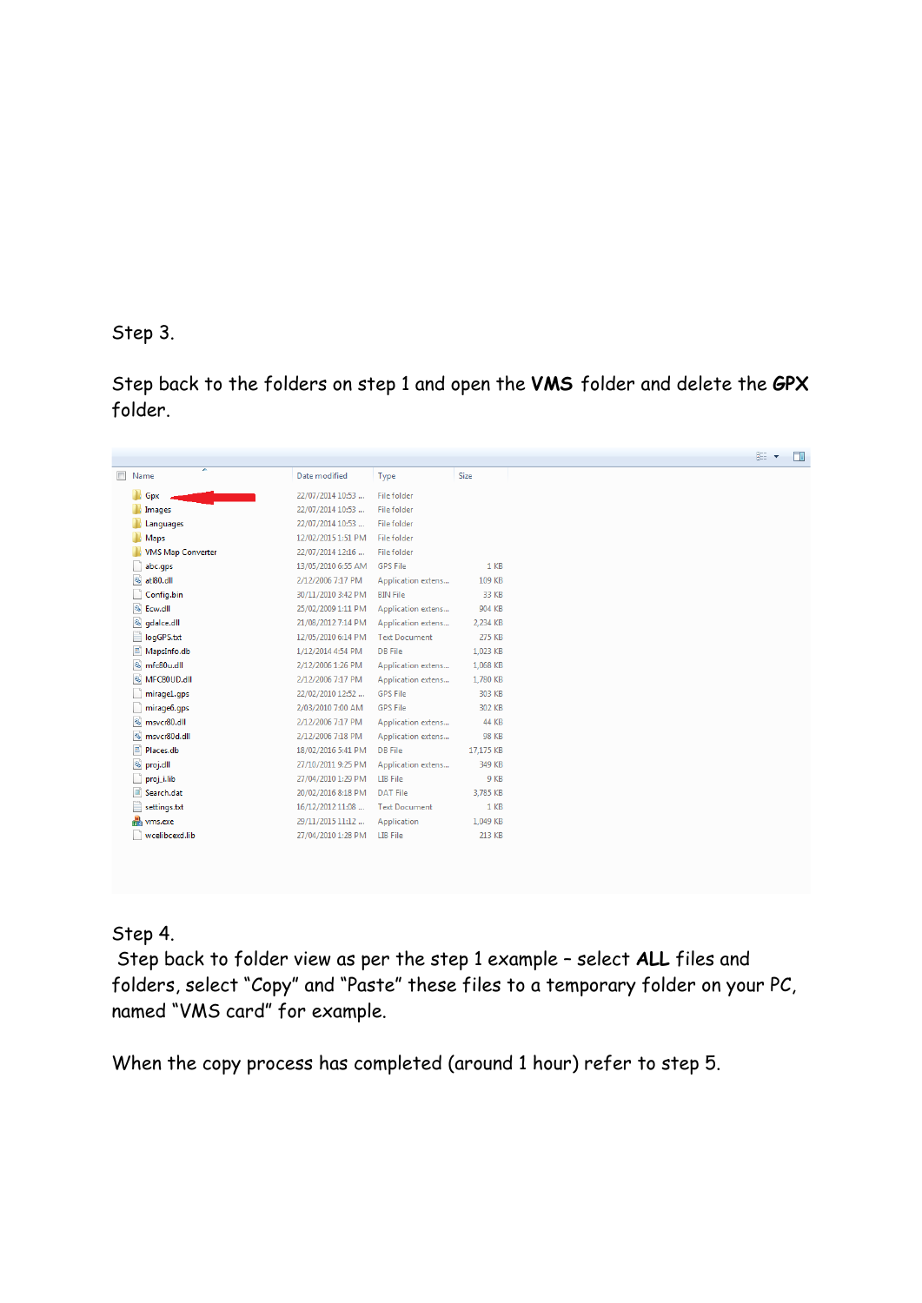Step 3.

Step back to the folders on step 1 and open the **VMS** folder and delete the **GPX**  folder.

| $\overline{\phantom{a}}$ | ×<br>Name                 | Date modified      | Type                 | Size         |
|--------------------------|---------------------------|--------------------|----------------------|--------------|
|                          | Gpx                       | 22/07/2014 10:53   | File folder          |              |
| Ъ                        | Images                    | 22/07/2014 10:53   | File folder          |              |
|                          | Languages                 | 22/07/2014 10:53   | File folder          |              |
|                          | Maps                      | 12/02/2015 1:51 PM | File folder          |              |
|                          | <b>VMS Map Converter</b>  | 22/07/2014 12:16   | File folder          |              |
|                          | abc.gps                   | 13/05/2010 6:55 AM | <b>GPS File</b>      | 1 KB         |
|                          | atl80.dll                 | 2/12/2006 7:17 PM  | Application extens   | 109 KB       |
|                          | Config.bin                | 30/11/2010 3:42 PM | <b>BIN File</b>      | 33 KB        |
|                          | S Ecw.dll                 | 25/02/2009 1:11 PM | Application extens   | 904 KB       |
|                          | S gdalce.dll              | 21/08/2012 7:14 PM | Application extens   | 2.234 KB     |
| Ë                        | logGPS.txt                | 12/05/2010 6:14 PM | <b>Text Document</b> | 275 KB       |
| E,                       | MapsInfo.db               | 1/12/2014 4:54 PM  | <b>DB</b> File       | 1,023 KB     |
|                          | <sup>®</sup> mfc80u.dll   | 2/12/2006 1:26 PM  | Application extens   | 1.068 KB     |
|                          | MFC80UD.dll               | 2/12/2006 7:17 PM  | Application extens   | 1,780 KB     |
|                          | mirage1.gps               | 22/02/2010 12:52   | <b>GPS File</b>      | 303 KB       |
|                          | mirage6.gps               | 2/03/2010 7:00 AM  | <b>GPS File</b>      | 302 KB       |
|                          | msvcr80.dll               | 2/12/2006 7:17 PM  | Application extens   | 44 KB        |
|                          | <sup>3</sup> msvcr80d.dll | 2/12/2006 7:18 PM  | Application extens   | <b>98 KB</b> |
| E                        | Places.db                 | 18/02/2016 5:41 PM | DB File              | 17.175 KB    |
|                          | S proj.dll                | 27/10/2011 9:25 PM | Application extens   | 349 KB       |
|                          | proj_i.lib                | 27/04/2010 1:29 PM | LIB File             | 9 KB         |
|                          | Search.dat                | 20/02/2016 8:18 PM | <b>DAT File</b>      | 3,785 KB     |
| ₽                        | settings.txt              | 16/12/2012 11:08   | <b>Text Document</b> | 1 KB         |
|                          | <b>R</b> ums.exe          | 29/11/2015 11:12   | Application          | 1,049 KB     |
|                          | wcelibcexd.lib            | 27/04/2010 1:28 PM | LIB File             | 213 KB       |

## Step 4.

Step back to folder view as per the step 1 example – select **ALL** files and folders, select "Copy" and "Paste" these files to a temporary folder on your PC, named "VMS card" for example.

When the copy process has completed (around 1 hour) refer to step 5.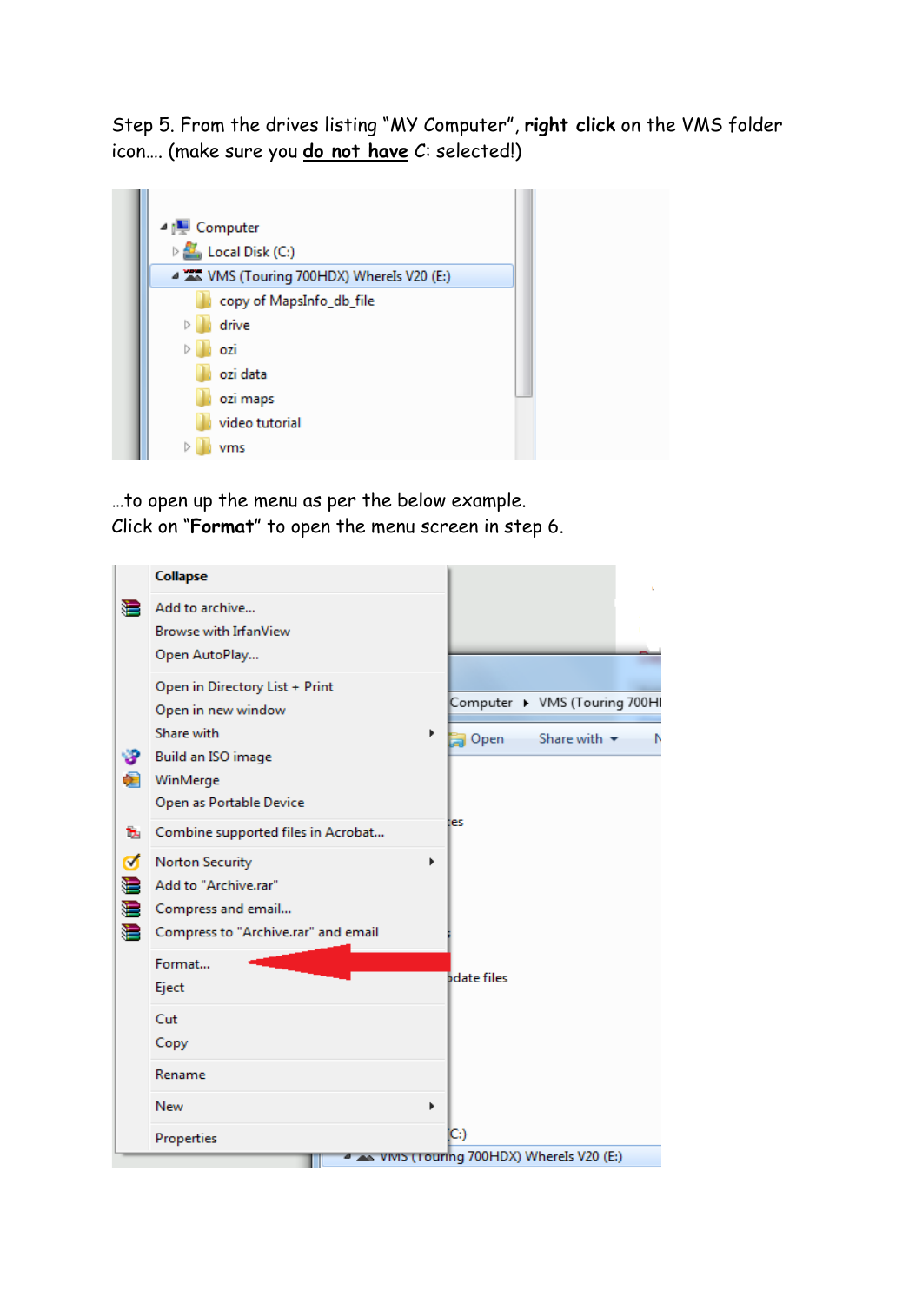Step 5. From the drives listing "MY Computer", **right click** on the VMS folder icon…. (make sure you **do not have** C: selected!)



…to open up the menu as per the below example. Click on "**Format**" to open the menu screen in step 6.

|                                     | Collapse                                                                                                                                          |                                                                                    |
|-------------------------------------|---------------------------------------------------------------------------------------------------------------------------------------------------|------------------------------------------------------------------------------------|
| €                                   | Add to archive<br><b>Browse with IrfanView</b><br>Open AutoPlay                                                                                   |                                                                                    |
| G                                   | Open in Directory List + Print<br>Open in new window<br>Share with<br>Build an ISO image<br>WinMerge<br>Open as Portable Device                   | Computer > VMS (Touring 700HI<br>Þ<br>Open<br>Share with $\blacktriangledown$<br>N |
| ъ<br>$\blacktriangledown$<br>₩<br>€ | Combine supported files in Acrobat<br><b>Norton Security</b><br>Add to "Archive.rar"<br>Compress and email<br>Compress to "Archive.rar" and email | es<br>Þ                                                                            |
|                                     | Format<br>Eject<br>Cut<br>Copy<br>Rename                                                                                                          | <b>bdate files</b>                                                                 |
|                                     | <b>New</b><br>Properties                                                                                                                          | Þ<br>IC:)                                                                          |
|                                     |                                                                                                                                                   | VMS (Touring 700HDX) Wherels V20 (E:)                                              |